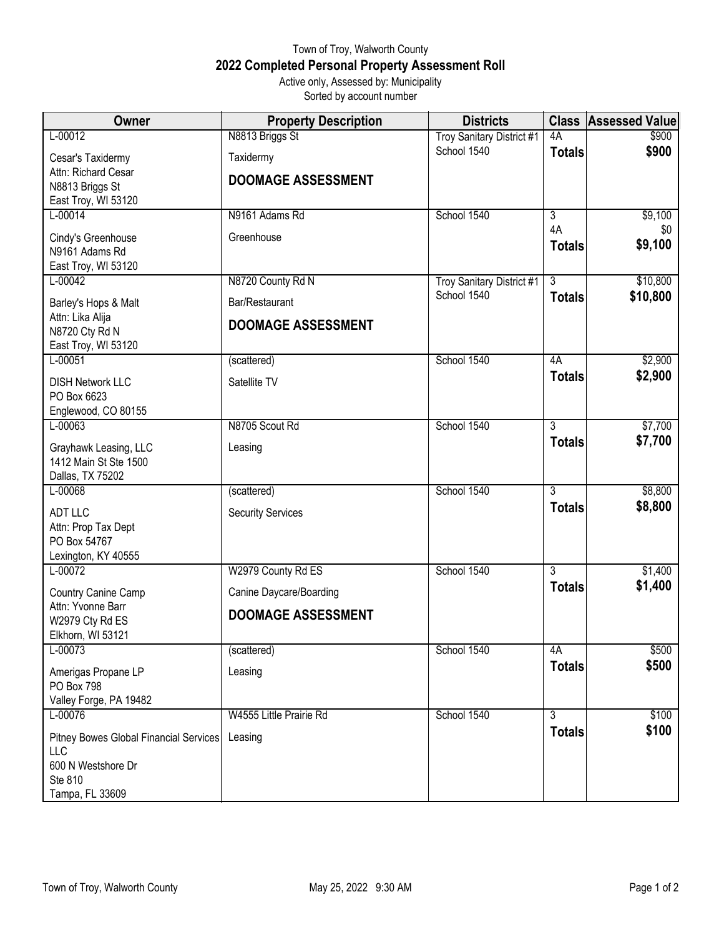## Town of Troy, Walworth County **2022 Completed Personal Property Assessment Roll** Active only, Assessed by: Municipality

Sorted by account number

| <b>Owner</b>                                              | <b>Property Description</b> | <b>Districts</b>                 |                | <b>Class Assessed Value</b> |
|-----------------------------------------------------------|-----------------------------|----------------------------------|----------------|-----------------------------|
| L-00012                                                   | N8813 Briggs St             | <b>Troy Sanitary District #1</b> | 4A             | \$900                       |
| Cesar's Taxidermy                                         | Taxidermy                   | School 1540                      | <b>Totals</b>  | \$900                       |
| Attn: Richard Cesar                                       | <b>DOOMAGE ASSESSMENT</b>   |                                  |                |                             |
| N8813 Briggs St<br>East Troy, WI 53120                    |                             |                                  |                |                             |
| L-00014                                                   | N9161 Adams Rd              | School 1540                      | 3              | \$9,100                     |
|                                                           | Greenhouse                  |                                  | 4A             | \$0                         |
| Cindy's Greenhouse<br>N9161 Adams Rd                      |                             |                                  | <b>Totals</b>  | \$9,100                     |
| East Troy, WI 53120                                       |                             |                                  |                |                             |
| $L - 00042$                                               | N8720 County Rd N           | <b>Troy Sanitary District #1</b> | $\overline{3}$ | \$10,800                    |
| Barley's Hops & Malt                                      | Bar/Restaurant              | School 1540                      | <b>Totals</b>  | \$10,800                    |
| Attn: Lika Alija<br>N8720 Cty Rd N<br>East Troy, WI 53120 | <b>DOOMAGE ASSESSMENT</b>   |                                  |                |                             |
| $L - 00051$                                               | (scattered)                 | School 1540                      | 4A             | \$2,900                     |
| <b>DISH Network LLC</b>                                   | Satellite TV                |                                  | <b>Totals</b>  | \$2,900                     |
| PO Box 6623                                               |                             |                                  |                |                             |
| Englewood, CO 80155                                       |                             |                                  |                |                             |
| $L - 00063$                                               | N8705 Scout Rd              | School 1540                      | $\overline{3}$ | \$7,700                     |
| Grayhawk Leasing, LLC                                     | Leasing                     |                                  | <b>Totals</b>  | \$7,700                     |
| 1412 Main St Ste 1500                                     |                             |                                  |                |                             |
| Dallas, TX 75202<br>L-00068                               | (scattered)                 | School 1540                      | $\overline{3}$ | \$8,800                     |
|                                                           |                             |                                  | <b>Totals</b>  | \$8,800                     |
| <b>ADT LLC</b><br>Attn: Prop Tax Dept                     | <b>Security Services</b>    |                                  |                |                             |
| PO Box 54767                                              |                             |                                  |                |                             |
| Lexington, KY 40555                                       |                             |                                  |                |                             |
| $L - 00072$                                               | W2979 County Rd ES          | School 1540                      | $\overline{3}$ | \$1,400                     |
| Country Canine Camp                                       | Canine Daycare/Boarding     |                                  | <b>Totals</b>  | \$1,400                     |
| Attn: Yvonne Barr                                         | <b>DOOMAGE ASSESSMENT</b>   |                                  |                |                             |
| W2979 Cty Rd ES<br>Elkhorn, WI 53121                      |                             |                                  |                |                             |
| L-00073                                                   | (scattered)                 | School 1540                      | 4A             | \$500                       |
| Amerigas Propane LP                                       | Leasing                     |                                  | <b>Totals</b>  | \$500                       |
| PO Box 798                                                |                             |                                  |                |                             |
| Valley Forge, PA 19482                                    |                             |                                  |                |                             |
| L-00076                                                   | W4555 Little Prairie Rd     | School 1540                      | $\overline{3}$ | \$100<br>\$100              |
| Pitney Bowes Global Financial Services                    | Leasing                     |                                  | <b>Totals</b>  |                             |
| LLC<br>600 N Westshore Dr                                 |                             |                                  |                |                             |
| Ste 810                                                   |                             |                                  |                |                             |
| Tampa, FL 33609                                           |                             |                                  |                |                             |